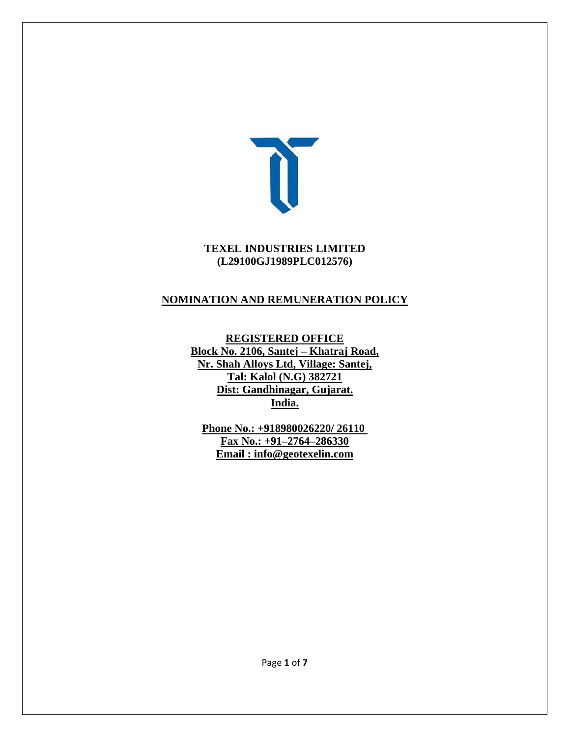

#### **TEXEL INDUSTRIES LIMITED (L29100GJ1989PLC012576)**

### **NOMINATION AND REMUNERATION POLICY**

**REGISTERED OFFICE Block No. 2106, Santej – Khatraj Road, Nr. Shah Alloys Ltd, Village: Santej, Tal: Kalol (N.G) 382721 Dist: Gandhinagar, Gujarat. India.**

**Phone No.: +918980026220/ 26110 Fax No.: +91–2764–286330 Email : info@geotexelin.com**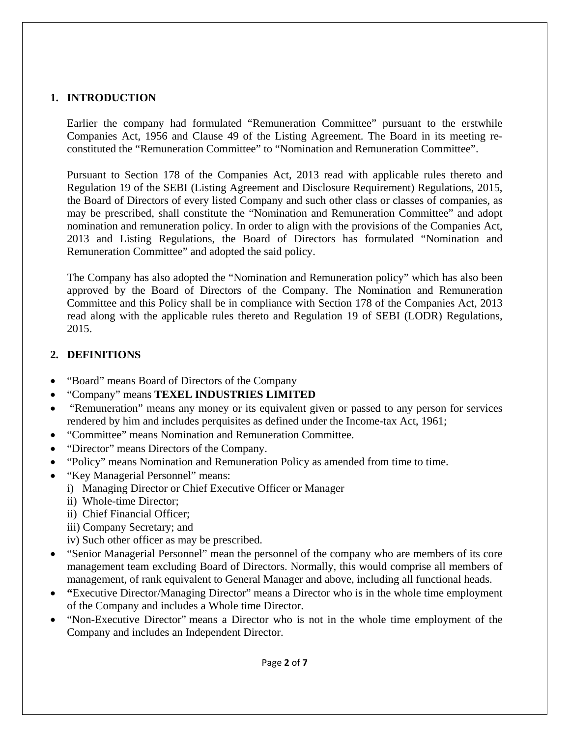### **1. INTRODUCTION**

Earlier the company had formulated "Remuneration Committee" pursuant to the erstwhile Companies Act, 1956 and Clause 49 of the Listing Agreement. The Board in its meeting reconstituted the "Remuneration Committee" to "Nomination and Remuneration Committee".

Pursuant to Section 178 of the Companies Act, 2013 read with applicable rules thereto and Regulation 19 of the SEBI (Listing Agreement and Disclosure Requirement) Regulations, 2015, the Board of Directors of every listed Company and such other class or classes of companies, as may be prescribed, shall constitute the "Nomination and Remuneration Committee" and adopt nomination and remuneration policy. In order to align with the provisions of the Companies Act, 2013 and Listing Regulations, the Board of Directors has formulated "Nomination and Remuneration Committee" and adopted the said policy.

The Company has also adopted the "Nomination and Remuneration policy" which has also been approved by the Board of Directors of the Company. The Nomination and Remuneration Committee and this Policy shall be in compliance with Section 178 of the Companies Act, 2013 read along with the applicable rules thereto and Regulation 19 of SEBI (LODR) Regulations, 2015.

### **2. DEFINITIONS**

- "Board" means Board of Directors of the Company
- "Company" means **TEXEL INDUSTRIES LIMITED**
- "Remuneration" means any money or its equivalent given or passed to any person for services rendered by him and includes perquisites as defined under the Income-tax Act, 1961;
- "Committee" means Nomination and Remuneration Committee.
- "Director" means Directors of the Company.
- "Policy" means Nomination and Remuneration Policy as amended from time to time.
- "Key Managerial Personnel" means:
	- i) Managing Director or Chief Executive Officer or Manager
		- ii) Whole-time Director;
		- ii) Chief Financial Officer;
		- iii) Company Secretary; and
		- iv) Such other officer as may be prescribed.
- "Senior Managerial Personnel" mean the personnel of the company who are members of its core management team excluding Board of Directors. Normally, this would comprise all members of management, of rank equivalent to General Manager and above, including all functional heads.
- **"**Executive Director/Managing Director" means a Director who is in the whole time employment of the Company and includes a Whole time Director.
- "Non-Executive Director" means a Director who is not in the whole time employment of the Company and includes an Independent Director.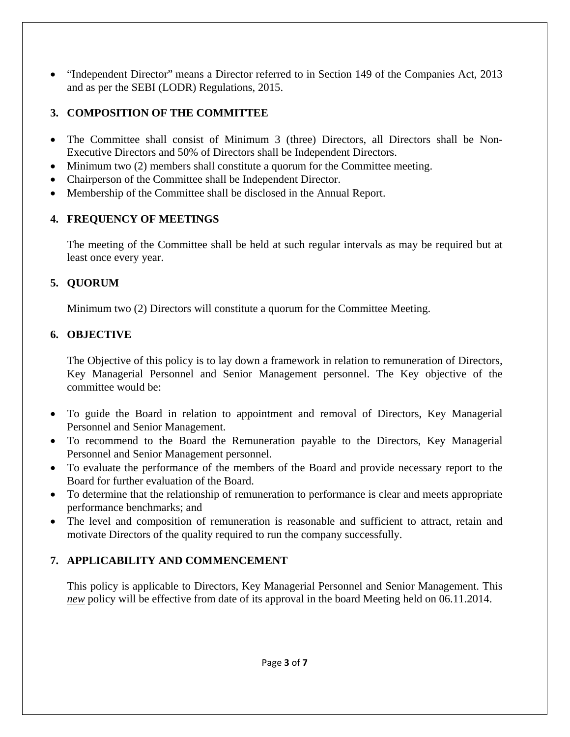"Independent Director" means a Director referred to in Section 149 of the Companies Act, 2013 and as per the SEBI (LODR) Regulations, 2015.

## **3. COMPOSITION OF THE COMMITTEE**

- The Committee shall consist of Minimum 3 (three) Directors, all Directors shall be Non-Executive Directors and 50% of Directors shall be Independent Directors.
- Minimum two (2) members shall constitute a quorum for the Committee meeting.
- Chairperson of the Committee shall be Independent Director.
- Membership of the Committee shall be disclosed in the Annual Report.

### **4. FREQUENCY OF MEETINGS**

The meeting of the Committee shall be held at such regular intervals as may be required but at least once every year.

## **5. QUORUM**

Minimum two (2) Directors will constitute a quorum for the Committee Meeting.

## **6. OBJECTIVE**

The Objective of this policy is to lay down a framework in relation to remuneration of Directors, Key Managerial Personnel and Senior Management personnel. The Key objective of the committee would be:

- To guide the Board in relation to appointment and removal of Directors, Key Managerial Personnel and Senior Management.
- To recommend to the Board the Remuneration payable to the Directors, Key Managerial Personnel and Senior Management personnel.
- To evaluate the performance of the members of the Board and provide necessary report to the Board for further evaluation of the Board.
- To determine that the relationship of remuneration to performance is clear and meets appropriate performance benchmarks; and
- The level and composition of remuneration is reasonable and sufficient to attract, retain and motivate Directors of the quality required to run the company successfully.

# **7. APPLICABILITY AND COMMENCEMENT**

This policy is applicable to Directors, Key Managerial Personnel and Senior Management. This *new* policy will be effective from date of its approval in the board Meeting held on 06.11.2014.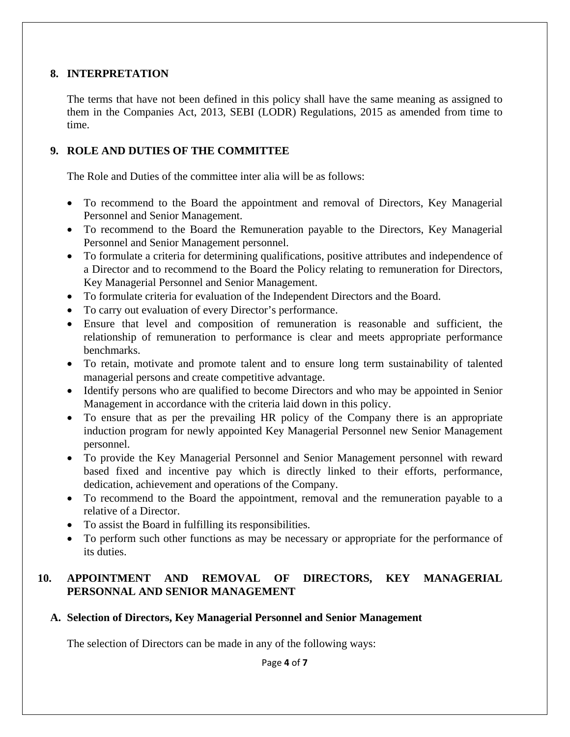#### **8. INTERPRETATION**

The terms that have not been defined in this policy shall have the same meaning as assigned to them in the Companies Act, 2013, SEBI (LODR) Regulations, 2015 as amended from time to time.

#### **9. ROLE AND DUTIES OF THE COMMITTEE**

The Role and Duties of the committee inter alia will be as follows:

- To recommend to the Board the appointment and removal of Directors, Key Managerial Personnel and Senior Management.
- To recommend to the Board the Remuneration payable to the Directors, Key Managerial Personnel and Senior Management personnel.
- To formulate a criteria for determining qualifications, positive attributes and independence of a Director and to recommend to the Board the Policy relating to remuneration for Directors, Key Managerial Personnel and Senior Management.
- To formulate criteria for evaluation of the Independent Directors and the Board.
- To carry out evaluation of every Director's performance.
- Ensure that level and composition of remuneration is reasonable and sufficient, the relationship of remuneration to performance is clear and meets appropriate performance benchmarks.
- To retain, motivate and promote talent and to ensure long term sustainability of talented managerial persons and create competitive advantage.
- Identify persons who are qualified to become Directors and who may be appointed in Senior Management in accordance with the criteria laid down in this policy.
- To ensure that as per the prevailing HR policy of the Company there is an appropriate induction program for newly appointed Key Managerial Personnel new Senior Management personnel.
- To provide the Key Managerial Personnel and Senior Management personnel with reward based fixed and incentive pay which is directly linked to their efforts, performance, dedication, achievement and operations of the Company.
- To recommend to the Board the appointment, removal and the remuneration payable to a relative of a Director.
- To assist the Board in fulfilling its responsibilities.
- To perform such other functions as may be necessary or appropriate for the performance of its duties.

#### **10. APPOINTMENT AND REMOVAL OF DIRECTORS, KEY MANAGERIAL PERSONNAL AND SENIOR MANAGEMENT**

**A. Selection of Directors, Key Managerial Personnel and Senior Management**

The selection of Directors can be made in any of the following ways: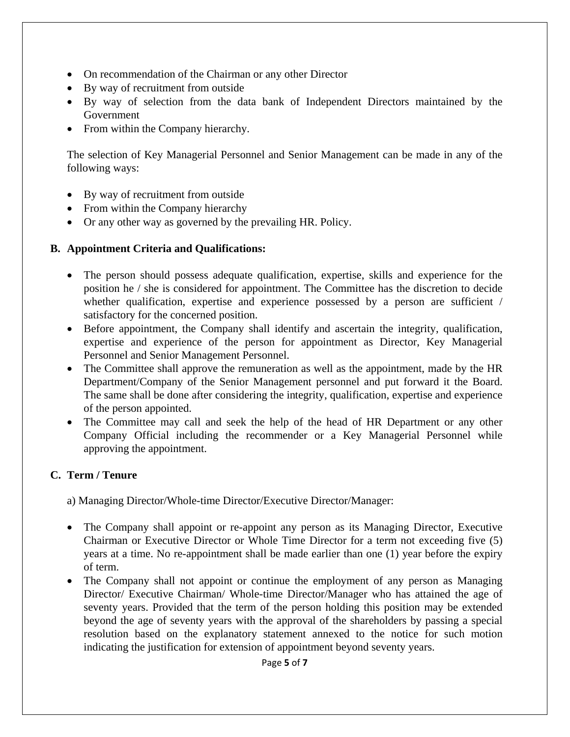- On recommendation of the Chairman or any other Director
- By way of recruitment from outside
- By way of selection from the data bank of Independent Directors maintained by the Government
- From within the Company hierarchy.

The selection of Key Managerial Personnel and Senior Management can be made in any of the following ways:

- By way of recruitment from outside
- From within the Company hierarchy
- Or any other way as governed by the prevailing HR. Policy.

#### **B. Appointment Criteria and Qualifications:**

- The person should possess adequate qualification, expertise, skills and experience for the position he / she is considered for appointment. The Committee has the discretion to decide whether qualification, expertise and experience possessed by a person are sufficient / satisfactory for the concerned position.
- Before appointment, the Company shall identify and ascertain the integrity, qualification, expertise and experience of the person for appointment as Director, Key Managerial Personnel and Senior Management Personnel.
- The Committee shall approve the remuneration as well as the appointment, made by the HR Department/Company of the Senior Management personnel and put forward it the Board. The same shall be done after considering the integrity, qualification, expertise and experience of the person appointed.
- The Committee may call and seek the help of the head of HR Department or any other Company Official including the recommender or a Key Managerial Personnel while approving the appointment.

### **C. Term / Tenure**

a) Managing Director/Whole-time Director/Executive Director/Manager:

- The Company shall appoint or re-appoint any person as its Managing Director, Executive Chairman or Executive Director or Whole Time Director for a term not exceeding five (5) years at a time. No re-appointment shall be made earlier than one (1) year before the expiry of term.
- The Company shall not appoint or continue the employment of any person as Managing Director/ Executive Chairman/ Whole-time Director/Manager who has attained the age of seventy years. Provided that the term of the person holding this position may be extended beyond the age of seventy years with the approval of the shareholders by passing a special resolution based on the explanatory statement annexed to the notice for such motion indicating the justification for extension of appointment beyond seventy years.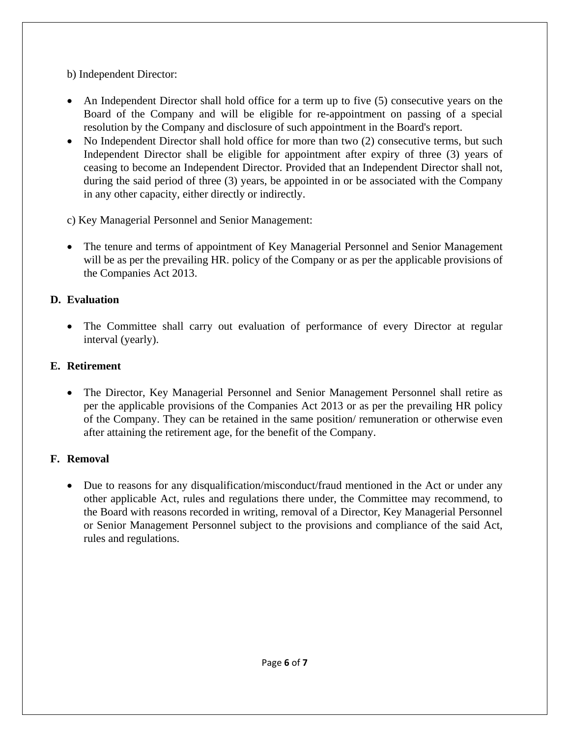b) Independent Director:

- An Independent Director shall hold office for a term up to five (5) consecutive years on the Board of the Company and will be eligible for re-appointment on passing of a special resolution by the Company and disclosure of such appointment in the Board's report.
- No Independent Director shall hold office for more than two (2) consecutive terms, but such Independent Director shall be eligible for appointment after expiry of three (3) years of ceasing to become an Independent Director. Provided that an Independent Director shall not, during the said period of three (3) years, be appointed in or be associated with the Company in any other capacity, either directly or indirectly.
- c) Key Managerial Personnel and Senior Management:
- The tenure and terms of appointment of Key Managerial Personnel and Senior Management will be as per the prevailing HR. policy of the Company or as per the applicable provisions of the Companies Act 2013.

## **D. Evaluation**

 The Committee shall carry out evaluation of performance of every Director at regular interval (yearly).

# **E. Retirement**

 The Director, Key Managerial Personnel and Senior Management Personnel shall retire as per the applicable provisions of the Companies Act 2013 or as per the prevailing HR policy of the Company. They can be retained in the same position/ remuneration or otherwise even after attaining the retirement age, for the benefit of the Company.

# **F. Removal**

 Due to reasons for any disqualification/misconduct/fraud mentioned in the Act or under any other applicable Act, rules and regulations there under, the Committee may recommend, to the Board with reasons recorded in writing, removal of a Director, Key Managerial Personnel or Senior Management Personnel subject to the provisions and compliance of the said Act, rules and regulations.